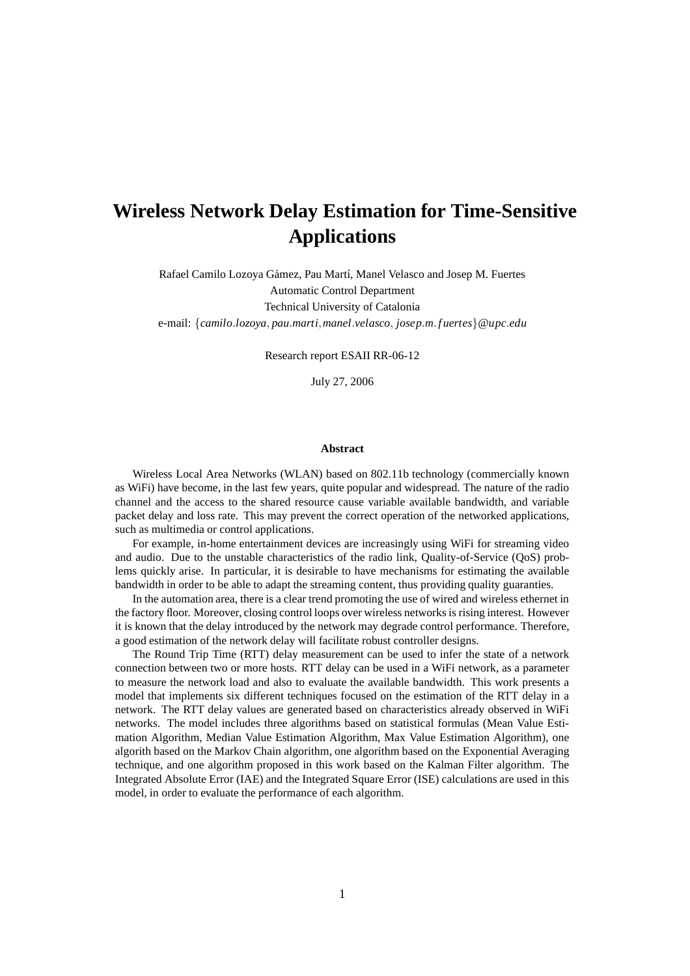# **Wireless Network Delay Estimation for Time-Sensitive Applications**

Rafael Camilo Lozoya Gámez, Pau Martí, Manel Velasco and Josep M. Fuertes Automatic Control Department Technical University of Catalonia

e-mail: {*camilo*.*lozoya*, *pau*.*marti*,*manel*.*velasco*, *josep*.*m*. *f uertes*}@*upc*.*edu*

Research report ESAII RR-06-12

July 27, 2006

#### **Abstract**

Wireless Local Area Networks (WLAN) based on 802.11b technology (commercially known as WiFi) have become, in the last few years, quite popular and widespread. The nature of the radio channel and the access to the shared resource cause variable available bandwidth, and variable packet delay and loss rate. This may prevent the correct operation of the networked applications, such as multimedia or control applications.

For example, in-home entertainment devices are increasingly using WiFi for streaming video and audio. Due to the unstable characteristics of the radio link, Quality-of-Service (QoS) problems quickly arise. In particular, it is desirable to have mechanisms for estimating the available bandwidth in order to be able to adapt the streaming content, thus providing quality guaranties.

In the automation area, there is a clear trend promoting the use of wired and wireless ethernet in the factory floor. Moreover, closing control loops over wireless networksis rising interest. However it is known that the delay introduced by the network may degrade control performance. Therefore, a good estimation of the network delay will facilitate robust controller designs.

The Round Trip Time (RTT) delay measurement can be used to infer the state of a network connection between two or more hosts. RTT delay can be used in a WiFi network, as a parameter to measure the network load and also to evaluate the available bandwidth. This work presents a model that implements six different techniques focused on the estimation of the RTT delay in a network. The RTT delay values are generated based on characteristics already observed in WiFi networks. The model includes three algorithms based on statistical formulas (Mean Value Estimation Algorithm, Median Value Estimation Algorithm, Max Value Estimation Algorithm), one algorith based on the Markov Chain algorithm, one algorithm based on the Exponential Averaging technique, and one algorithm proposed in this work based on the Kalman Filter algorithm. The Integrated Absolute Error (IAE) and the Integrated Square Error (ISE) calculations are used in this model, in order to evaluate the performance of each algorithm.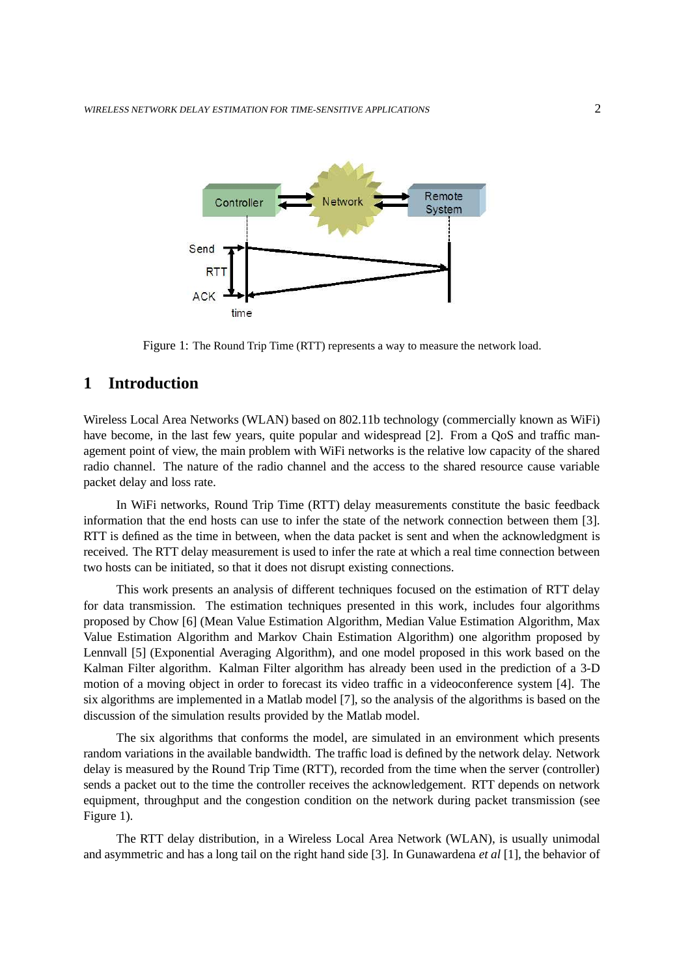

Figure 1: The Round Trip Time (RTT) represents a way to measure the network load.

# **1 Introduction**

Wireless Local Area Networks (WLAN) based on 802.11b technology (commercially known as WiFi) have become, in the last few years, quite popular and widespread [2]. From a QoS and traffic management point of view, the main problem with WiFi networks is the relative low capacity of the shared radio channel. The nature of the radio channel and the access to the shared resource cause variable packet delay and loss rate.

In WiFi networks, Round Trip Time (RTT) delay measurements constitute the basic feedback information that the end hosts can use to infer the state of the network connection between them [3]. RTT is defined as the time in between, when the data packet is sent and when the acknowledgment is received. The RTT delay measurement is used to infer the rate at which a real time connection between two hosts can be initiated, so that it does not disrupt existing connections.

This work presents an analysis of different techniques focused on the estimation of RTT delay for data transmission. The estimation techniques presented in this work, includes four algorithms proposed by Chow [6] (Mean Value Estimation Algorithm, Median Value Estimation Algorithm, Max Value Estimation Algorithm and Markov Chain Estimation Algorithm) one algorithm proposed by Lennvall [5] (Exponential Averaging Algorithm), and one model proposed in this work based on the Kalman Filter algorithm. Kalman Filter algorithm has already been used in the prediction of a 3-D motion of a moving object in order to forecast its video traffic in a videoconference system [4]. The six algorithms are implemented in a Matlab model [7], so the analysis of the algorithms is based on the discussion of the simulation results provided by the Matlab model.

The six algorithms that conforms the model, are simulated in an environment which presents random variations in the available bandwidth. The traffic load is defined by the network delay. Network delay is measured by the Round Trip Time (RTT), recorded from the time when the server (controller) sends a packet out to the time the controller receives the acknowledgement. RTT depends on network equipment, throughput and the congestion condition on the network during packet transmission (see Figure 1).

The RTT delay distribution, in a Wireless Local Area Network (WLAN), is usually unimodal and asymmetric and has a long tail on the right hand side [3]. In Gunawardena *et al* [1], the behavior of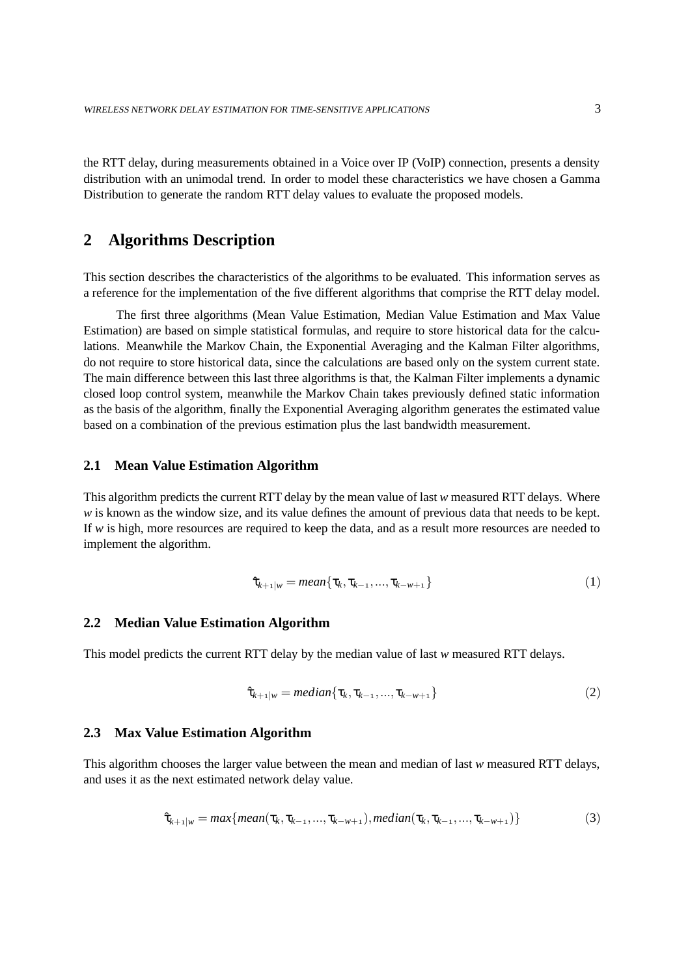the RTT delay, during measurements obtained in a Voice over IP (VoIP) connection, presents a density distribution with an unimodal trend. In order to model these characteristics we have chosen a Gamma Distribution to generate the random RTT delay values to evaluate the proposed models.

## **2 Algorithms Description**

This section describes the characteristics of the algorithms to be evaluated. This information serves as a reference for the implementation of the five different algorithms that comprise the RTT delay model.

The first three algorithms (Mean Value Estimation, Median Value Estimation and Max Value Estimation) are based on simple statistical formulas, and require to store historical data for the calculations. Meanwhile the Markov Chain, the Exponential Averaging and the Kalman Filter algorithms, do not require to store historical data, since the calculations are based only on the system current state. The main difference between this last three algorithms is that, the Kalman Filter implements a dynamic closed loop control system, meanwhile the Markov Chain takes previously defined static information as the basis of the algorithm, finally the Exponential Averaging algorithm generates the estimated value based on a combination of the previous estimation plus the last bandwidth measurement.

#### **2.1 Mean Value Estimation Algorithm**

This algorithm predicts the current RTT delay by the mean value of last *w* measured RTT delays. Where *w* is known as the window size, and its value defines the amount of previous data that needs to be kept. If *w* is high, more resources are required to keep the data, and as a result more resources are needed to implement the algorithm.

$$
\hat{\tau}_{k+1|w} = mean\{\tau_k, \tau_{k-1}, ..., \tau_{k-w+1}\}
$$
\n(1)

## **2.2 Median Value Estimation Algorithm**

This model predicts the current RTT delay by the median value of last *w* measured RTT delays.

$$
\hat{\tau}_{k+1|w} = \text{median}\{\tau_k, \tau_{k-1}, ..., \tau_{k-w+1}\}\tag{2}
$$

## **2.3 Max Value Estimation Algorithm**

This algorithm chooses the larger value between the mean and median of last *w* measured RTT delays, and uses it as the next estimated network delay value.

$$
\hat{\tau}_{k+1|w} = max\{mean(\tau_k, \tau_{k-1}, ..., \tau_{k-w+1}), median(\tau_k, \tau_{k-1}, ..., \tau_{k-w+1})\}
$$
(3)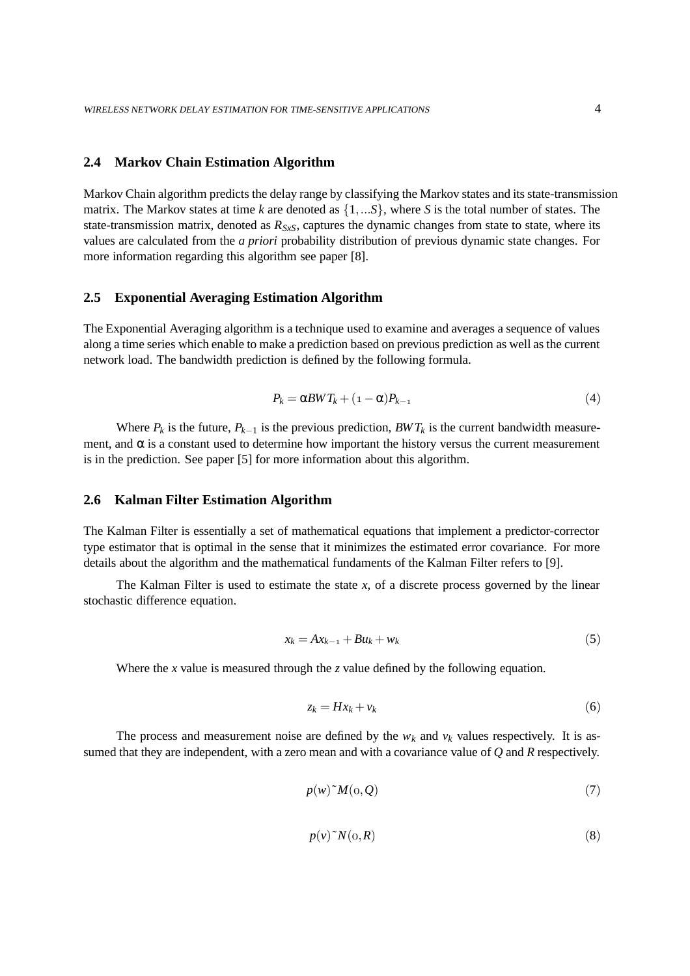## **2.4 Markov Chain Estimation Algorithm**

Markov Chain algorithm predicts the delay range by classifying the Markov states and its state-transmission matrix. The Markov states at time *k* are denoted as {1,...*S*}, where *S* is the total number of states. The state-transmission matrix, denoted as  $R_{SxS}$ , captures the dynamic changes from state to state, where its values are calculated from the *a priori* probability distribution of previous dynamic state changes. For more information regarding this algorithm see paper [8].

## **2.5 Exponential Averaging Estimation Algorithm**

The Exponential Averaging algorithm is a technique used to examine and averages a sequence of values along a time series which enable to make a prediction based on previous prediction as well as the current network load. The bandwidth prediction is defined by the following formula.

$$
P_k = \alpha B W T_k + (1 - \alpha) P_{k-1} \tag{4}
$$

Where  $P_k$  is the future,  $P_{k-1}$  is the previous prediction,  $BWT_k$  is the current bandwidth measurement, and  $\alpha$  is a constant used to determine how important the history versus the current measurement is in the prediction. See paper [5] for more information about this algorithm.

## **2.6 Kalman Filter Estimation Algorithm**

The Kalman Filter is essentially a set of mathematical equations that implement a predictor-corrector type estimator that is optimal in the sense that it minimizes the estimated error covariance. For more details about the algorithm and the mathematical fundaments of the Kalman Filter refers to [9].

The Kalman Filter is used to estimate the state *x*, of a discrete process governed by the linear stochastic difference equation.

$$
x_k = Ax_{k-1} + Bu_k + w_k \tag{5}
$$

Where the *x* value is measured through the *z* value defined by the following equation.

$$
z_k = Hx_k + v_k \tag{6}
$$

The process and measurement noise are defined by the  $w_k$  and  $v_k$  values respectively. It is assumed that they are independent, with a zero mean and with a covariance value of *Q* and *R* respectively.

$$
p(w)^{\sim} M(\mathbf{0}, \mathcal{Q}) \tag{7}
$$

$$
p(v)^{\sim} N(\mathbf{0}, R) \tag{8}
$$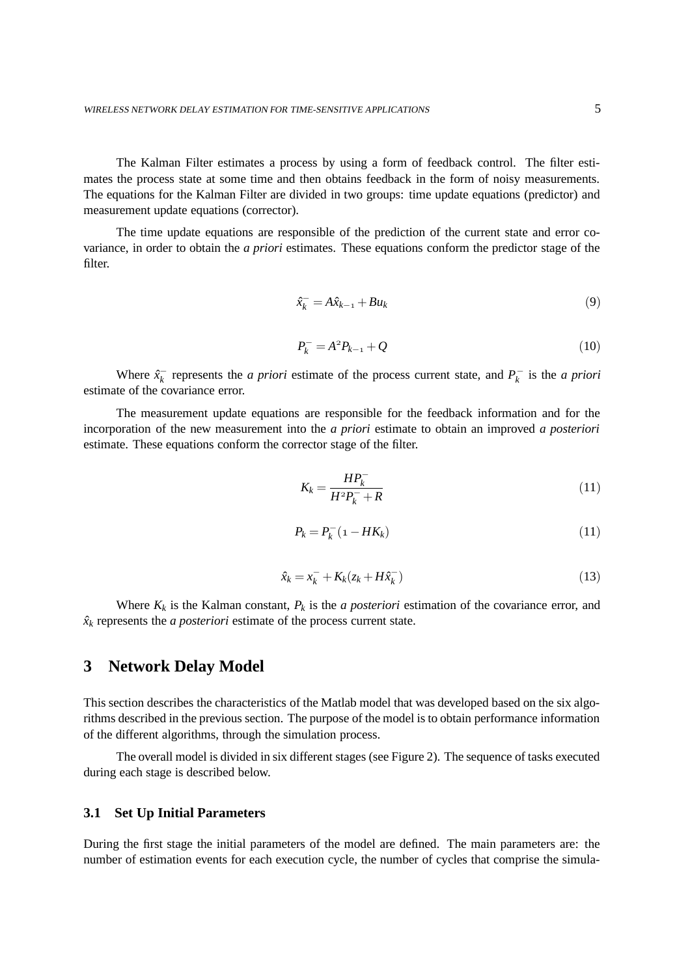The Kalman Filter estimates a process by using a form of feedback control. The filter estimates the process state at some time and then obtains feedback in the form of noisy measurements. The equations for the Kalman Filter are divided in two groups: time update equations (predictor) and measurement update equations (corrector).

The time update equations are responsible of the prediction of the current state and error covariance, in order to obtain the *a priori* estimates. These equations conform the predictor stage of the filter.

$$
\hat{x}_k^- = A\hat{x}_{k-1} + Bu_k \tag{9}
$$

$$
P_k^- = A^2 P_{k-1} + Q \tag{10}
$$

Where  $\hat{x}_k^-$  represents the *a priori* estimate of the process current state, and  $P_k^-$  is the *a priori* estimate of the covariance error.

The measurement update equations are responsible for the feedback information and for the incorporation of the new measurement into the *a priori* estimate to obtain an improved *a posteriori* estimate. These equations conform the corrector stage of the filter.

$$
K_k = \frac{HP_k^-}{H^2P_k^- + R}
$$
\n<sup>(11)</sup>

$$
P_k = P_k^-(1 - HK_k) \tag{11}
$$

$$
\hat{x}_k = x_k^- + K_k (z_k + H\hat{x}_k^-) \tag{13}
$$

Where  $K_k$  is the Kalman constant,  $P_k$  is the *a posteriori* estimation of the covariance error, and  $\hat{x}_k$  represents the *a posteriori* estimate of the process current state.

# **3 Network Delay Model**

This section describes the characteristics of the Matlab model that was developed based on the six algorithms described in the previous section. The purpose of the model is to obtain performance information of the different algorithms, through the simulation process.

The overall model is divided in six different stages (see Figure 2). The sequence of tasks executed during each stage is described below.

## **3.1 Set Up Initial Parameters**

During the first stage the initial parameters of the model are defined. The main parameters are: the number of estimation events for each execution cycle, the number of cycles that comprise the simula-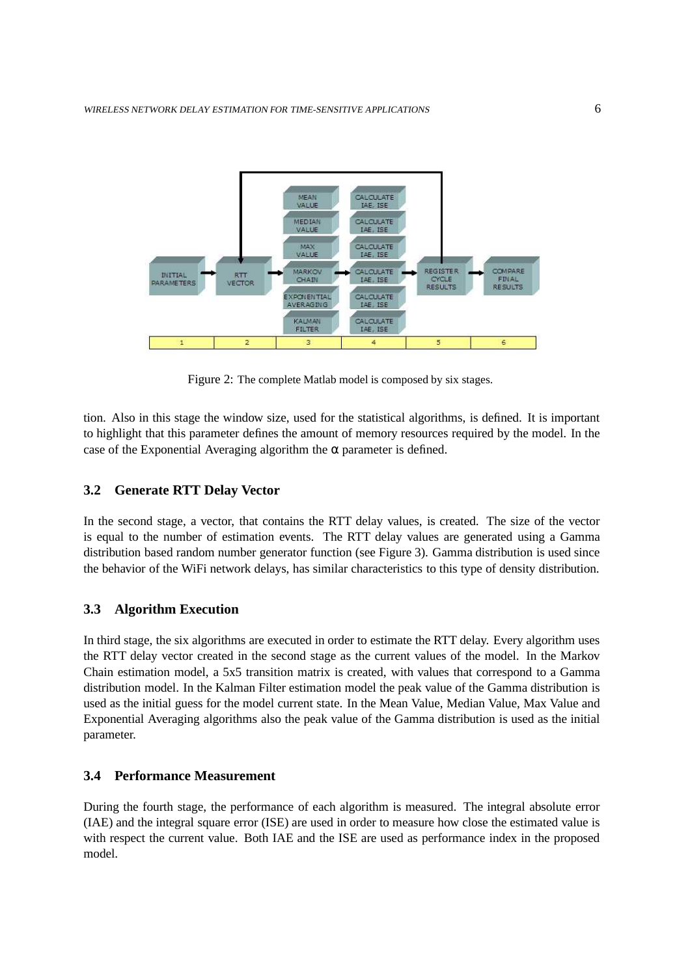

Figure 2: The complete Matlab model is composed by six stages.

tion. Also in this stage the window size, used for the statistical algorithms, is defined. It is important to highlight that this parameter defines the amount of memory resources required by the model. In the case of the Exponential Averaging algorithm the  $\alpha$  parameter is defined.

## **3.2 Generate RTT Delay Vector**

In the second stage, a vector, that contains the RTT delay values, is created. The size of the vector is equal to the number of estimation events. The RTT delay values are generated using a Gamma distribution based random number generator function (see Figure 3). Gamma distribution is used since the behavior of the WiFi network delays, has similar characteristics to this type of density distribution.

## **3.3 Algorithm Execution**

In third stage, the six algorithms are executed in order to estimate the RTT delay. Every algorithm uses the RTT delay vector created in the second stage as the current values of the model. In the Markov Chain estimation model, a 5x5 transition matrix is created, with values that correspond to a Gamma distribution model. In the Kalman Filter estimation model the peak value of the Gamma distribution is used as the initial guess for the model current state. In the Mean Value, Median Value, Max Value and Exponential Averaging algorithms also the peak value of the Gamma distribution is used as the initial parameter.

## **3.4 Performance Measurement**

During the fourth stage, the performance of each algorithm is measured. The integral absolute error (IAE) and the integral square error (ISE) are used in order to measure how close the estimated value is with respect the current value. Both IAE and the ISE are used as performance index in the proposed model.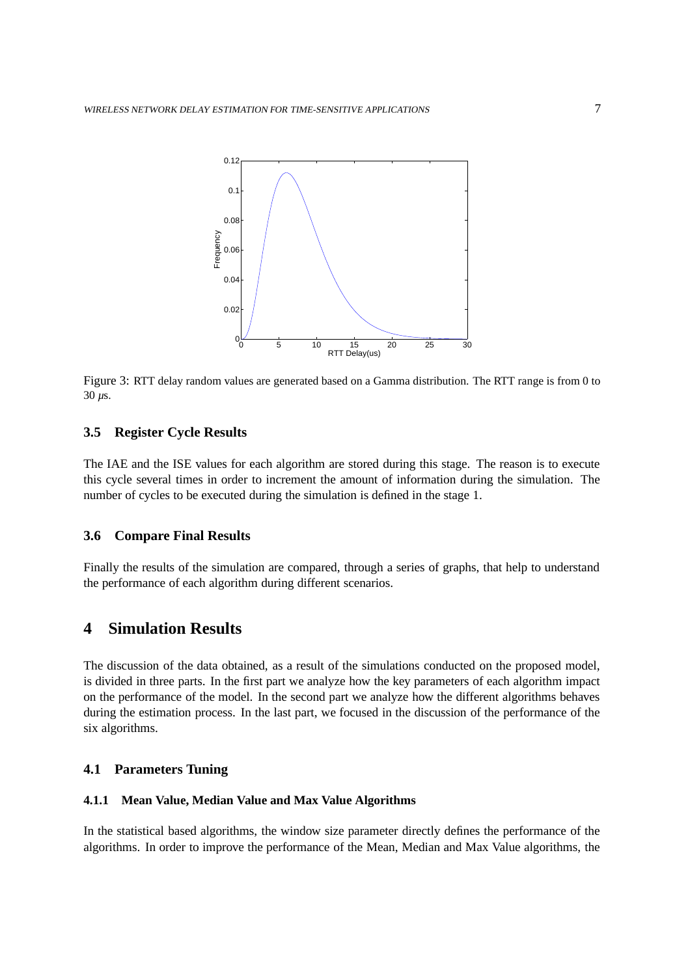

Figure 3: RTT delay random values are generated based on a Gamma distribution. The RTT range is from 0 to 30 *µ*s.

## **3.5 Register Cycle Results**

The IAE and the ISE values for each algorithm are stored during this stage. The reason is to execute this cycle several times in order to increment the amount of information during the simulation. The number of cycles to be executed during the simulation is defined in the stage 1.

## **3.6 Compare Final Results**

Finally the results of the simulation are compared, through a series of graphs, that help to understand the performance of each algorithm during different scenarios.

# **4 Simulation Results**

The discussion of the data obtained, as a result of the simulations conducted on the proposed model, is divided in three parts. In the first part we analyze how the key parameters of each algorithm impact on the performance of the model. In the second part we analyze how the different algorithms behaves during the estimation process. In the last part, we focused in the discussion of the performance of the six algorithms.

## **4.1 Parameters Tuning**

#### **4.1.1 Mean Value, Median Value and Max Value Algorithms**

In the statistical based algorithms, the window size parameter directly defines the performance of the algorithms. In order to improve the performance of the Mean, Median and Max Value algorithms, the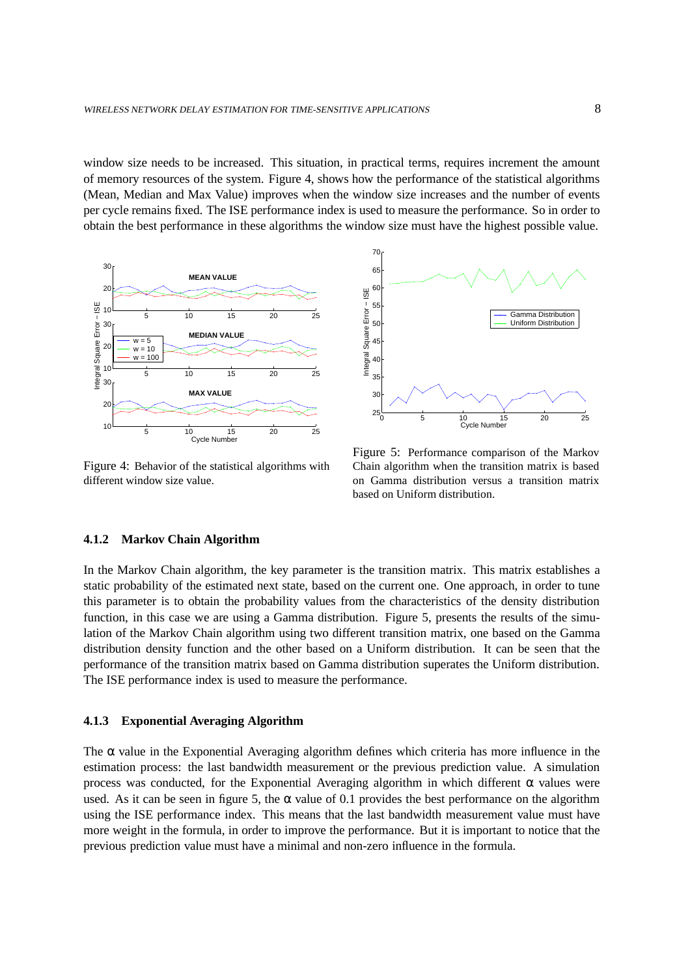window size needs to be increased. This situation, in practical terms, requires increment the amount of memory resources of the system. Figure 4, shows how the performance of the statistical algorithms (Mean, Median and Max Value) improves when the window size increases and the number of events per cycle remains fixed. The ISE performance index is used to measure the performance. So in order to obtain the best performance in these algorithms the window size must have the highest possible value.



Figure 4: Behavior of the statistical algorithms with different window size value.



Figure 5: Performance comparison of the Markov Chain algorithm when the transition matrix is based on Gamma distribution versus a transition matrix based on Uniform distribution.

#### **4.1.2 Markov Chain Algorithm**

In the Markov Chain algorithm, the key parameter is the transition matrix. This matrix establishes a static probability of the estimated next state, based on the current one. One approach, in order to tune this parameter is to obtain the probability values from the characteristics of the density distribution function, in this case we are using a Gamma distribution. Figure 5, presents the results of the simulation of the Markov Chain algorithm using two different transition matrix, one based on the Gamma distribution density function and the other based on a Uniform distribution. It can be seen that the performance of the transition matrix based on Gamma distribution superates the Uniform distribution. The ISE performance index is used to measure the performance.

#### **4.1.3 Exponential Averaging Algorithm**

The  $\alpha$  value in the Exponential Averaging algorithm defines which criteria has more influence in the estimation process: the last bandwidth measurement or the previous prediction value. A simulation process was conducted, for the Exponential Averaging algorithm in which different α values were used. As it can be seen in figure 5, the  $\alpha$  value of 0.1 provides the best performance on the algorithm using the ISE performance index. This means that the last bandwidth measurement value must have more weight in the formula, in order to improve the performance. But it is important to notice that the previous prediction value must have a minimal and non-zero influence in the formula.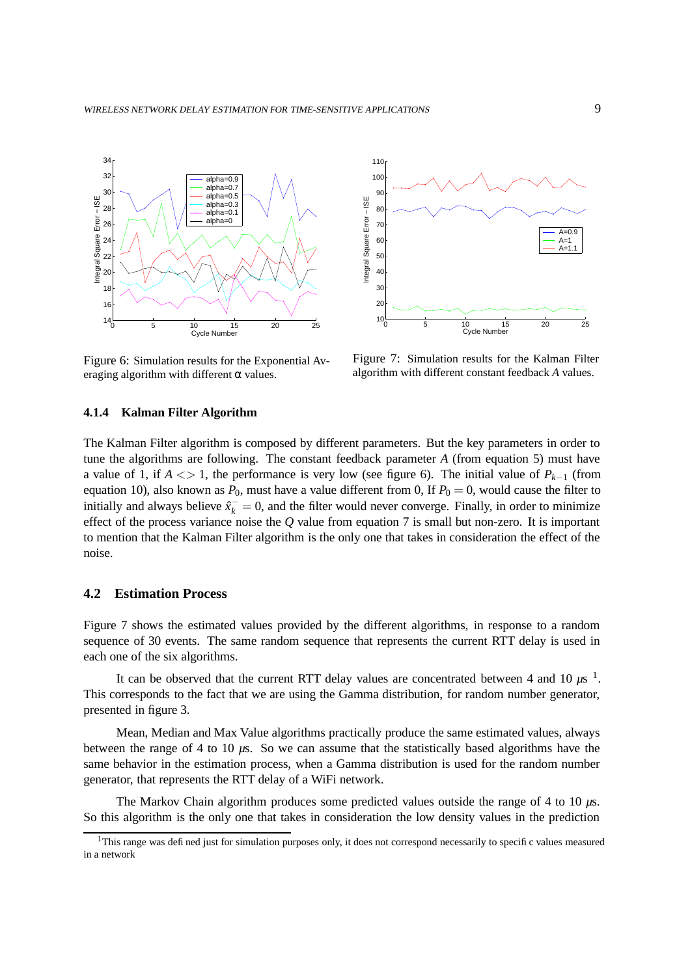

Figure 6: Simulation results for the Exponential Averaging algorithm with different  $\alpha$  values.



Figure 7: Simulation results for the Kalman Filter algorithm with different constant feedback *A* values.

#### **4.1.4 Kalman Filter Algorithm**

The Kalman Filter algorithm is composed by different parameters. But the key parameters in order to tune the algorithms are following. The constant feedback parameter *A* (from equation 5) must have a value of 1, if  $A \leq 1$ , the performance is very low (see figure 6). The initial value of  $P_{k-1}$  (from equation 10), also known as  $P_0$ , must have a value different from 0, If  $P_0 = 0$ , would cause the filter to initially and always believe  $\hat{x}_{k}^{-} = 0$ , and the filter would never converge. Finally, in order to minimize effect of the process variance noise the *Q* value from equation 7 is small but non-zero. It is important to mention that the Kalman Filter algorithm is the only one that takes in consideration the effect of the noise.

## **4.2 Estimation Process**

Figure 7 shows the estimated values provided by the different algorithms, in response to a random sequence of 30 events. The same random sequence that represents the current RTT delay is used in each one of the six algorithms.

It can be observed that the current RTT delay values are concentrated between 4 and  $10 \mu s^{-1}$ . This corresponds to the fact that we are using the Gamma distribution, for random number generator, presented in figure 3.

Mean, Median and Max Value algorithms practically produce the same estimated values, always between the range of 4 to 10 *µ*s. So we can assume that the statistically based algorithms have the same behavior in the estimation process, when a Gamma distribution is used for the random number generator, that represents the RTT delay of a WiFi network.

The Markov Chain algorithm produces some predicted values outside the range of 4 to 10 *µ*s. So this algorithm is the only one that takes in consideration the low density values in the prediction

<sup>&</sup>lt;sup>1</sup>This range was defined just for simulation purposes only, it does not correspond necessarily to specific values measured in a network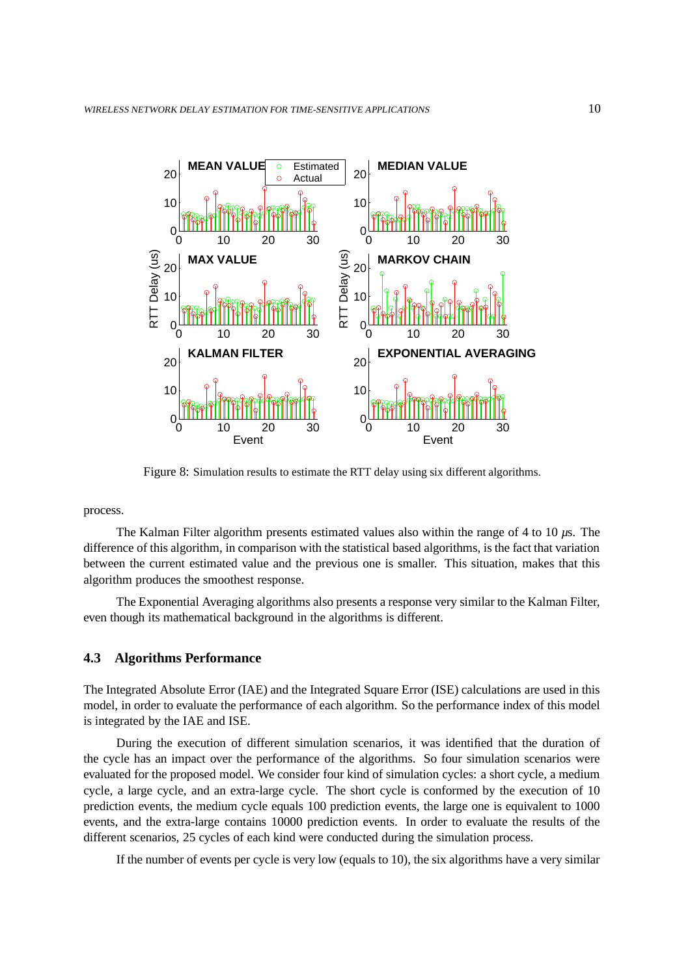

Figure 8: Simulation results to estimate the RTT delay using six different algorithms.

process.

The Kalman Filter algorithm presents estimated values also within the range of 4 to 10 *µ*s. The difference of this algorithm, in comparison with the statistical based algorithms, is the fact that variation between the current estimated value and the previous one is smaller. This situation, makes that this algorithm produces the smoothest response.

The Exponential Averaging algorithms also presents a response very similar to the Kalman Filter, even though its mathematical background in the algorithms is different.

## **4.3 Algorithms Performance**

The Integrated Absolute Error (IAE) and the Integrated Square Error (ISE) calculations are used in this model, in order to evaluate the performance of each algorithm. So the performance index of this model is integrated by the IAE and ISE.

During the execution of different simulation scenarios, it was identified that the duration of the cycle has an impact over the performance of the algorithms. So four simulation scenarios were evaluated for the proposed model. We consider four kind of simulation cycles: a short cycle, a medium cycle, a large cycle, and an extra-large cycle. The short cycle is conformed by the execution of 10 prediction events, the medium cycle equals 100 prediction events, the large one is equivalent to 1000 events, and the extra-large contains 10000 prediction events. In order to evaluate the results of the different scenarios, 25 cycles of each kind were conducted during the simulation process.

If the number of events per cycle is very low (equals to 10), the six algorithms have a very similar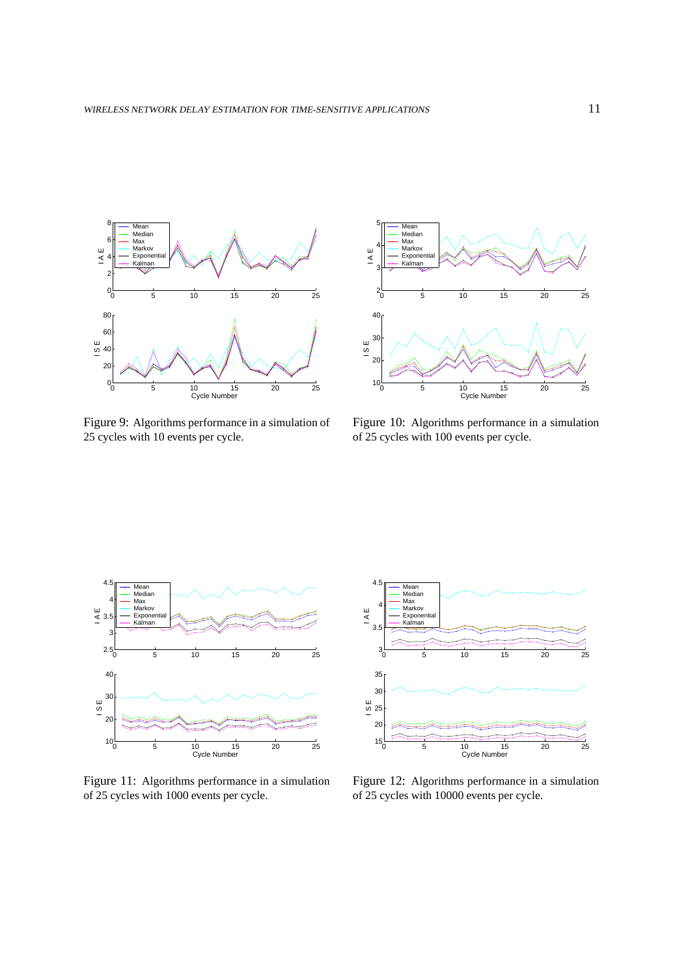

Figure 9: Algorithms performance in a simulation of 25 cycles with 10 events per cycle.



Figure 10: Algorithms performance in a simulation of 25 cycles with 100 events per cycle.



Figure 11: Algorithms performance in a simulation of 25 cycles with 1000 events per cycle.



Figure 12: Algorithms performance in a simulation of 25 cycles with 10000 events per cycle.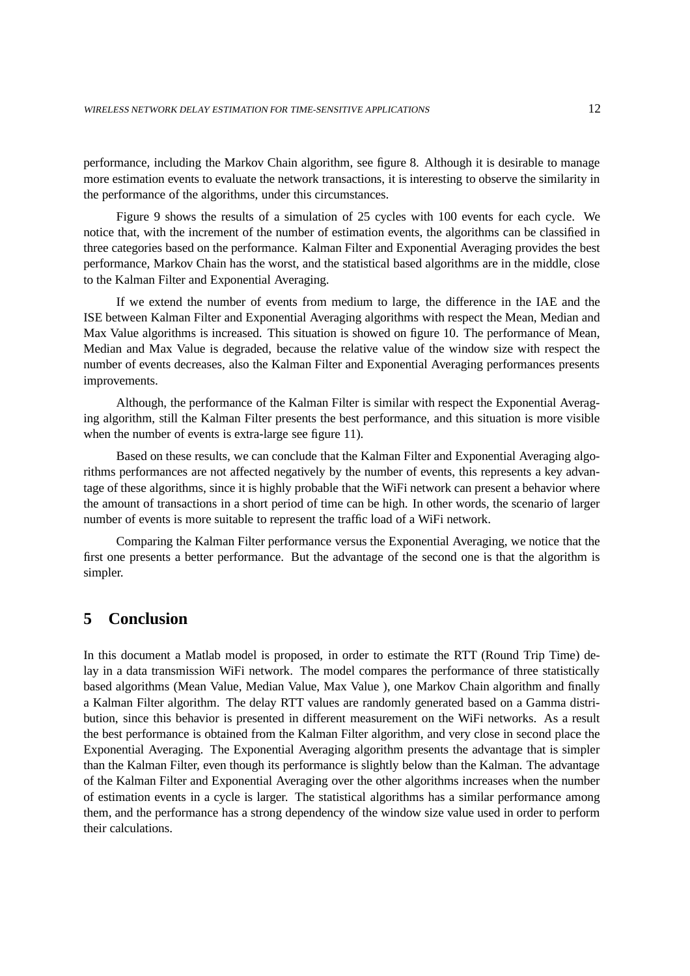performance, including the Markov Chain algorithm, see figure 8. Although it is desirable to manage more estimation events to evaluate the network transactions, it is interesting to observe the similarity in the performance of the algorithms, under this circumstances.

Figure 9 shows the results of a simulation of 25 cycles with 100 events for each cycle. We notice that, with the increment of the number of estimation events, the algorithms can be classified in three categories based on the performance. Kalman Filter and Exponential Averaging provides the best performance, Markov Chain has the worst, and the statistical based algorithms are in the middle, close to the Kalman Filter and Exponential Averaging.

If we extend the number of events from medium to large, the difference in the IAE and the ISE between Kalman Filter and Exponential Averaging algorithms with respect the Mean, Median and Max Value algorithms is increased. This situation is showed on figure 10. The performance of Mean, Median and Max Value is degraded, because the relative value of the window size with respect the number of events decreases, also the Kalman Filter and Exponential Averaging performances presents improvements.

Although, the performance of the Kalman Filter is similar with respect the Exponential Averaging algorithm, still the Kalman Filter presents the best performance, and this situation is more visible when the number of events is extra-large see figure 11).

Based on these results, we can conclude that the Kalman Filter and Exponential Averaging algorithms performances are not affected negatively by the number of events, this represents a key advantage of these algorithms, since it is highly probable that the WiFi network can present a behavior where the amount of transactions in a short period of time can be high. In other words, the scenario of larger number of events is more suitable to represent the traffic load of a WiFi network.

Comparing the Kalman Filter performance versus the Exponential Averaging, we notice that the first one presents a better performance. But the advantage of the second one is that the algorithm is simpler.

# **5 Conclusion**

In this document a Matlab model is proposed, in order to estimate the RTT (Round Trip Time) delay in a data transmission WiFi network. The model compares the performance of three statistically based algorithms (Mean Value, Median Value, Max Value ), one Markov Chain algorithm and finally a Kalman Filter algorithm. The delay RTT values are randomly generated based on a Gamma distribution, since this behavior is presented in different measurement on the WiFi networks. As a result the best performance is obtained from the Kalman Filter algorithm, and very close in second place the Exponential Averaging. The Exponential Averaging algorithm presents the advantage that is simpler than the Kalman Filter, even though its performance is slightly below than the Kalman. The advantage of the Kalman Filter and Exponential Averaging over the other algorithms increases when the number of estimation events in a cycle is larger. The statistical algorithms has a similar performance among them, and the performance has a strong dependency of the window size value used in order to perform their calculations.